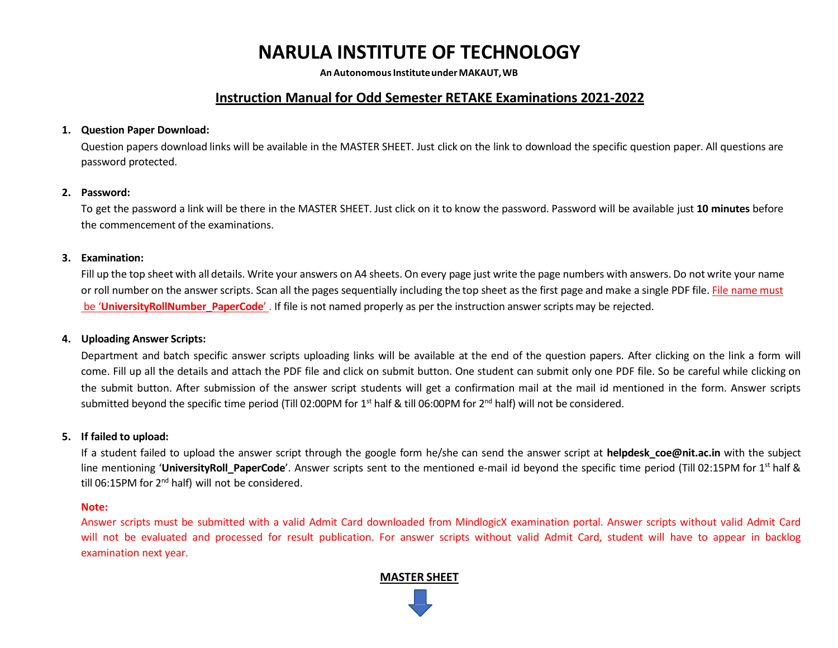# **NARULA INSTITUTE OF TECHNOLOGY**

**AnAutonomousInstituteunderMAKAUT,WB**

# **Instruction Manual for Odd Semester RETAKE Examinations 2021-2022**

#### **1. Question Paper Download:**

Question papers download links will be available in the MASTER SHEET. Just click on the link to download the specific question paper. All questions are password protected.

#### **2. Password:**

To get the password a link will be there in the MASTER SHEET. Just click on it to know the password. Password will be available just **10 minutes** before the commencement of the examinations.

#### **3. Examination:**

Fill up the top sheet with all details. Write your answers on A4 sheets. On every page just write the page numbers with answers. Do not write your name or roll number on the answer scripts. Scan all the pages sequentially including the top sheet as the first page and make a single PDF file. File name must be '**UniversityRollNumber\_PaperCode**' . If file is not named properly as per the instruction answerscripts may be rejected.

#### **4. Uploading Answer Scripts:**

Department and batch specific answer scripts uploading links will be available at the end of the question papers. After clicking on the link a form will come. Fill up all the details and attach the PDF file and click on submit button. One student can submit only one PDF file. So be careful while clicking on the submit button. After submission of the answer script students will get a confirmation mail at the mail id mentioned in the form. Answer scripts submitted beyond the specific time period (Till 02:00PM for  $1<sup>st</sup>$  half & till 06:00PM for  $2<sup>nd</sup>$  half) will not be considered.

#### **5. If failed to upload:**

If a student failed to upload the answer script through the google form he/she can send the answer script at **helpdesk coe@nit.ac.in** with the subject line mentioning '**UniversityRoll PaperCode**'. Answer scripts sent to the mentioned e-mail id beyond the specific time period (Till 02:15PM for 1<sup>st</sup> half & till 06:15PM for 2<sup>nd</sup> half) will not be considered.

#### **Note:**

Answer scripts must be submitted with a valid Admit Card downloaded from MindlogicX examination portal. Answer scripts without valid Admit Card will not be evaluated and processed for result publication. For answer scripts without valid Admit Card, student will have to appear in backlog examination next year.

#### **MASTER SHEET**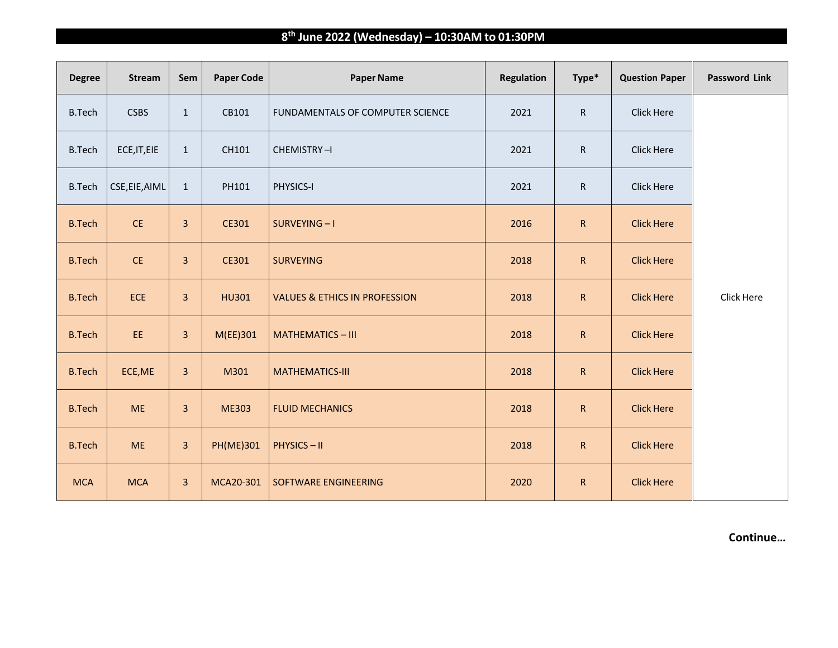## **8 th June 2022 (Wednesday) – 10:30AM to 01:30PM**

| <b>Degree</b> | <b>Stream</b>  | Sem                     | <b>Paper Code</b> | <b>Paper Name</b>                        | <b>Regulation</b> | Type*        | <b>Question Paper</b> | <b>Password Link</b> |
|---------------|----------------|-------------------------|-------------------|------------------------------------------|-------------------|--------------|-----------------------|----------------------|
| <b>B.Tech</b> | <b>CSBS</b>    | $\mathbf{1}$            | CB101             | FUNDAMENTALS OF COMPUTER SCIENCE         | 2021              | ${\sf R}$    | Click Here            |                      |
| <b>B.Tech</b> | ECE, IT, EIE   | $\mathbf{1}$            | CH101             | CHEMISTRY-I                              | 2021              | ${\sf R}$    | Click Here            |                      |
| <b>B.Tech</b> | CSE, EIE, AIML | $\mathbf{1}$            | PH101             | PHYSICS-I                                | 2021              | ${\sf R}$    | Click Here            |                      |
| <b>B.Tech</b> | CE             | $\overline{3}$          | CE301             | SURVEYING-I                              | 2016              | ${\sf R}$    | <b>Click Here</b>     |                      |
| <b>B.Tech</b> | CE             | 3                       | CE301             | <b>SURVEYING</b>                         | 2018              | $\mathsf{R}$ | <b>Click Here</b>     |                      |
| <b>B.Tech</b> | <b>ECE</b>     | $\mathbf{3}$            | <b>HU301</b>      | <b>VALUES &amp; ETHICS IN PROFESSION</b> | 2018              | ${\sf R}$    | <b>Click Here</b>     | Click Here           |
| <b>B.Tech</b> | EE.            | $\mathbf{3}$            | M(EE)301          | <b>MATHEMATICS-III</b>                   | 2018              | ${\sf R}$    | <b>Click Here</b>     |                      |
| <b>B.Tech</b> | ECE, ME        | $\overline{3}$          | M301              | <b>MATHEMATICS-III</b>                   | 2018              | $\mathsf R$  | <b>Click Here</b>     |                      |
| <b>B.Tech</b> | <b>ME</b>      | $\overline{\mathbf{3}}$ | <b>ME303</b>      | <b>FLUID MECHANICS</b>                   | 2018              | ${\sf R}$    | <b>Click Here</b>     |                      |
| <b>B.Tech</b> | <b>ME</b>      | $\mathsf 3$             | <b>PH(ME)301</b>  | <b>PHYSICS-II</b>                        | 2018              | ${\sf R}$    | <b>Click Here</b>     |                      |
| <b>MCA</b>    | <b>MCA</b>     | $\mathbf{3}$            | MCA20-301         | SOFTWARE ENGINEERING                     | 2020              | ${\sf R}$    | <b>Click Here</b>     |                      |

**Continue…**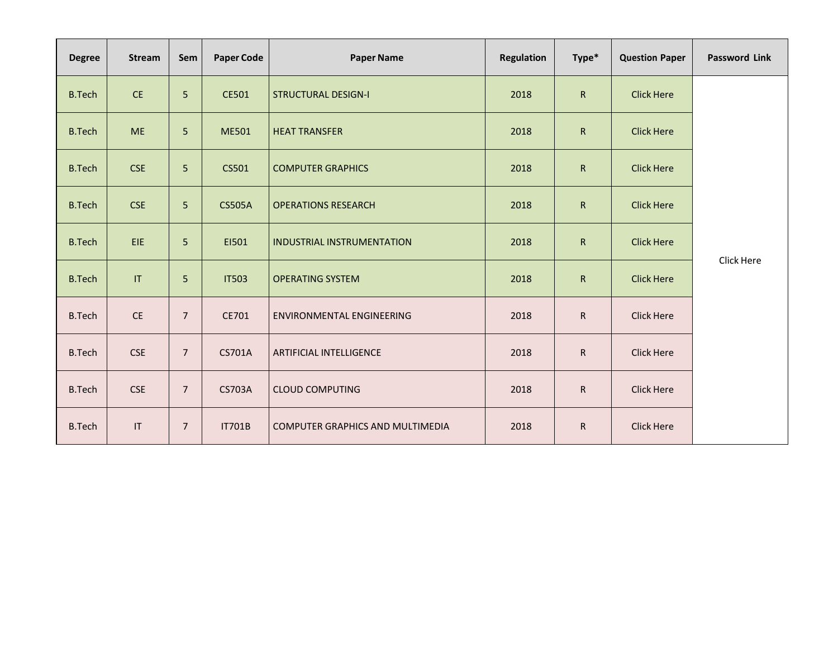| <b>Degree</b> | <b>Stream</b>                     | Sem            | <b>Paper Code</b> | <b>Paper Name</b>                       | <b>Regulation</b> | Type*        | <b>Question Paper</b> | <b>Password Link</b> |
|---------------|-----------------------------------|----------------|-------------------|-----------------------------------------|-------------------|--------------|-----------------------|----------------------|
| <b>B.Tech</b> | CE                                | 5              | CE501             | <b>STRUCTURAL DESIGN-I</b>              | 2018              | $\mathsf{R}$ | <b>Click Here</b>     | Click Here           |
| <b>B.Tech</b> | <b>ME</b>                         | 5              | ME501             | <b>HEAT TRANSFER</b>                    | 2018              | $\mathsf{R}$ | <b>Click Here</b>     |                      |
| <b>B.Tech</b> | <b>CSE</b>                        | 5              | CS501             | <b>COMPUTER GRAPHICS</b>                | 2018              | ${\sf R}$    | <b>Click Here</b>     |                      |
| <b>B.Tech</b> | <b>CSE</b>                        | 5              | <b>CS505A</b>     | <b>OPERATIONS RESEARCH</b>              | 2018              | ${\sf R}$    | <b>Click Here</b>     |                      |
| <b>B.Tech</b> | EIE                               | 5              | E1501             | <b>INDUSTRIAL INSTRUMENTATION</b>       | 2018              | ${\sf R}$    | <b>Click Here</b>     |                      |
| <b>B.Tech</b> | $\ensuremath{\mathsf{IT}}\xspace$ | 5              | <b>IT503</b>      | <b>OPERATING SYSTEM</b>                 | 2018              | $\mathsf{R}$ | <b>Click Here</b>     |                      |
| <b>B.Tech</b> | CE                                | $\overline{7}$ | CE701             | <b>ENVIRONMENTAL ENGINEERING</b>        | 2018              | R            | <b>Click Here</b>     |                      |
| <b>B.Tech</b> | <b>CSE</b>                        | $\overline{7}$ | <b>CS701A</b>     | <b>ARTIFICIAL INTELLIGENCE</b>          | 2018              | R            | <b>Click Here</b>     |                      |
| <b>B.Tech</b> | <b>CSE</b>                        | $\overline{7}$ | <b>CS703A</b>     | <b>CLOUD COMPUTING</b>                  | 2018              | R            | <b>Click Here</b>     |                      |
| <b>B.Tech</b> | $\ensuremath{\mathsf{IT}}\xspace$ | $\overline{7}$ | <b>IT701B</b>     | <b>COMPUTER GRAPHICS AND MULTIMEDIA</b> | 2018              | R.           | <b>Click Here</b>     |                      |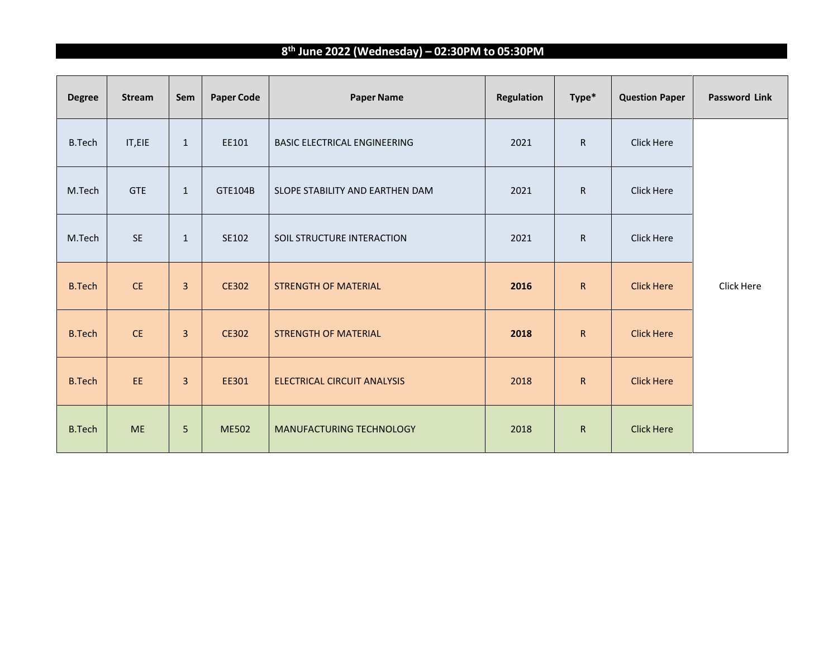## **8 th June 2022 (Wednesday) – 02:30PM to 05:30PM**

| <b>Degree</b> | <b>Stream</b> | Sem            | <b>Paper Code</b> | <b>Paper Name</b>                   | Regulation | Type*        | <b>Question Paper</b> | <b>Password Link</b> |
|---------------|---------------|----------------|-------------------|-------------------------------------|------------|--------------|-----------------------|----------------------|
| <b>B.Tech</b> | IT, EIE       | $\mathbf{1}$   | EE101             | <b>BASIC ELECTRICAL ENGINEERING</b> | 2021       | $\mathsf{R}$ | <b>Click Here</b>     |                      |
| M.Tech        | <b>GTE</b>    | $\mathbf{1}$   | GTE104B           | SLOPE STABILITY AND EARTHEN DAM     | 2021       | $\mathsf{R}$ | Click Here            |                      |
| M.Tech        | <b>SE</b>     | $\mathbf{1}$   | SE102             | SOIL STRUCTURE INTERACTION          | 2021       | ${\sf R}$    | <b>Click Here</b>     |                      |
| <b>B.Tech</b> | <b>CE</b>     | $\overline{3}$ | CE302             | <b>STRENGTH OF MATERIAL</b>         | 2016       | $\mathsf{R}$ | <b>Click Here</b>     | Click Here           |
| <b>B.Tech</b> | CE            | $\overline{3}$ | <b>CE302</b>      | <b>STRENGTH OF MATERIAL</b>         | 2018       | $\mathsf{R}$ | <b>Click Here</b>     |                      |
| <b>B.Tech</b> | EE            | $\overline{3}$ | EE301             | <b>ELECTRICAL CIRCUIT ANALYSIS</b>  | 2018       | $\mathsf R$  | <b>Click Here</b>     |                      |
| <b>B.Tech</b> | <b>ME</b>     | 5              | <b>ME502</b>      | MANUFACTURING TECHNOLOGY            | 2018       | $\mathsf{R}$ | <b>Click Here</b>     |                      |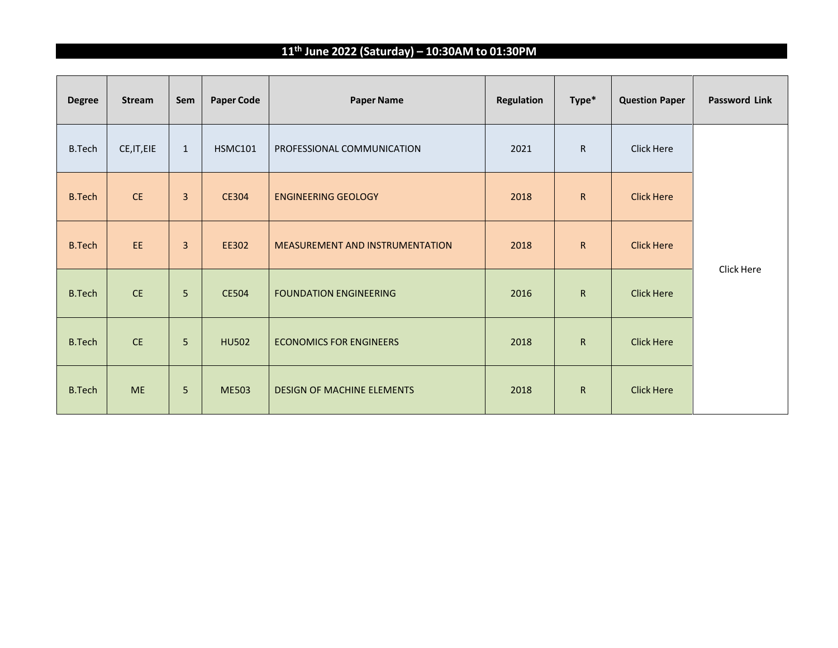## **11th June 2022 (Saturday) – 10:30AM to 01:30PM**

| <b>Degree</b> | <b>Stream</b> | Sem            | <b>Paper Code</b> | <b>Paper Name</b>               | <b>Regulation</b> | Type*        | <b>Question Paper</b> | <b>Password Link</b> |
|---------------|---------------|----------------|-------------------|---------------------------------|-------------------|--------------|-----------------------|----------------------|
| <b>B.Tech</b> | CE, IT, EIE   | $\mathbf{1}$   | <b>HSMC101</b>    | PROFESSIONAL COMMUNICATION      | 2021              | $\mathsf{R}$ | Click Here            |                      |
| <b>B.Tech</b> | <b>CE</b>     | $\overline{3}$ | <b>CE304</b>      | <b>ENGINEERING GEOLOGY</b>      | 2018              | $\mathsf{R}$ | <b>Click Here</b>     |                      |
| <b>B.Tech</b> | EE            | $\overline{3}$ | EE302             | MEASUREMENT AND INSTRUMENTATION | 2018              | $\mathsf{R}$ | <b>Click Here</b>     |                      |
| <b>B.Tech</b> | CE            | 5              | <b>CE504</b>      | <b>FOUNDATION ENGINEERING</b>   | 2016              | $\mathsf{R}$ | <b>Click Here</b>     | Click Here           |
| <b>B.Tech</b> | <b>CE</b>     | 5              | <b>HU502</b>      | <b>ECONOMICS FOR ENGINEERS</b>  | 2018              | $\mathsf{R}$ | <b>Click Here</b>     |                      |
| <b>B.Tech</b> | <b>ME</b>     | 5              | <b>ME503</b>      | DESIGN OF MACHINE ELEMENTS      | 2018              | $\mathsf R$  | <b>Click Here</b>     |                      |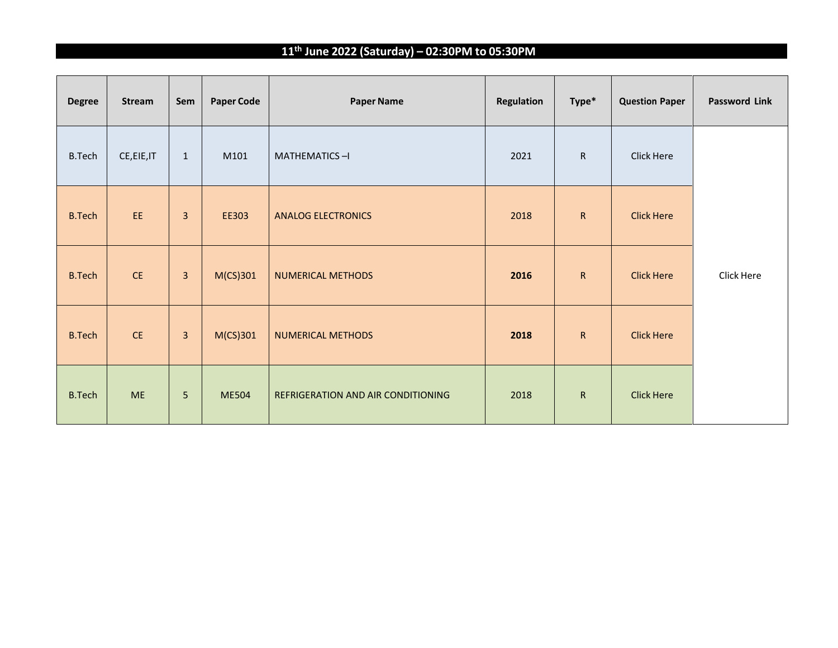## **11th June 2022 (Saturday) – 02:30PM to 05:30PM**

| <b>Degree</b> | Stream      | Sem            | <b>Paper Code</b> | <b>Paper Name</b>                  | <b>Regulation</b> | Type*        | <b>Question Paper</b> | <b>Password Link</b> |
|---------------|-------------|----------------|-------------------|------------------------------------|-------------------|--------------|-----------------------|----------------------|
| <b>B.Tech</b> | CE, EIE, IT | $\mathbf{1}$   | M101              | MATHEMATICS-I                      | 2021              | $\mathsf{R}$ | Click Here            |                      |
| <b>B.Tech</b> | EE          | $\overline{3}$ | EE303             | <b>ANALOG ELECTRONICS</b>          | 2018              | $\mathsf{R}$ | <b>Click Here</b>     |                      |
| <b>B.Tech</b> | CE          | $\mathbf{3}$   | $M(CS)$ 301       | <b>NUMERICAL METHODS</b>           | 2016              | $\mathsf{R}$ | <b>Click Here</b>     | Click Here           |
| <b>B.Tech</b> | CE          | $\mathbf{3}$   | $M(CS)$ 301       | <b>NUMERICAL METHODS</b>           | 2018              | $\mathsf R$  | <b>Click Here</b>     |                      |
| <b>B.Tech</b> | <b>ME</b>   | 5              | <b>ME504</b>      | REFRIGERATION AND AIR CONDITIONING | 2018              | $\mathsf{R}$ | <b>Click Here</b>     |                      |